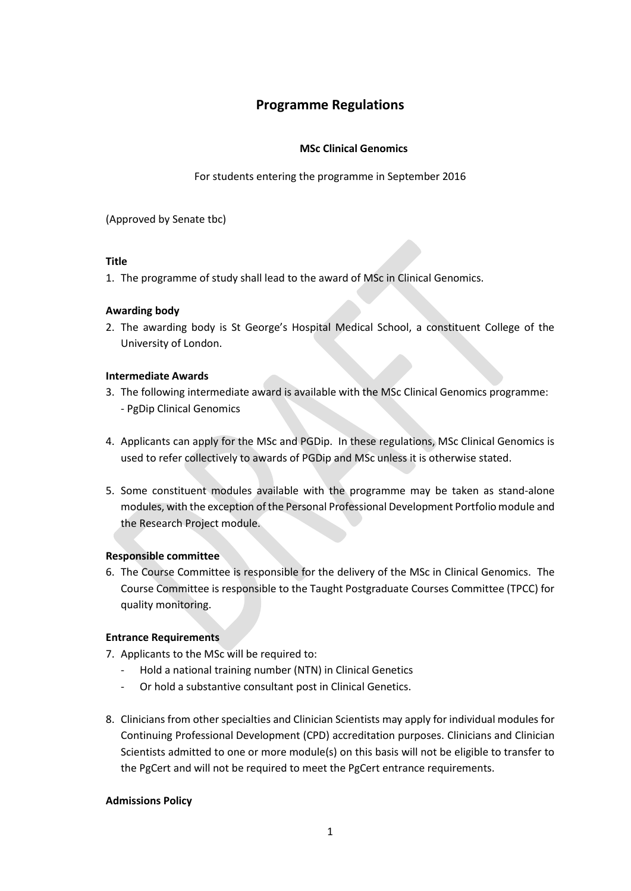# **Programme Regulations**

# **MSc Clinical Genomics**

For students entering the programme in September 2016

(Approved by Senate tbc)

### **Title**

1. The programme of study shall lead to the award of MSc in Clinical Genomics.

# **Awarding body**

2. The awarding body is St George's Hospital Medical School, a constituent College of the University of London.

# **Intermediate Awards**

- 3. The following intermediate award is available with the MSc Clinical Genomics programme: - PgDip Clinical Genomics
- 4. Applicants can apply for the MSc and PGDip. In these regulations, MSc Clinical Genomics is used to refer collectively to awards of PGDip and MSc unless it is otherwise stated.
- 5. Some constituent modules available with the programme may be taken as stand-alone modules, with the exception of the Personal Professional Development Portfolio module and the Research Project module.

# **Responsible committee**

6. The Course Committee is responsible for the delivery of the MSc in Clinical Genomics. The Course Committee is responsible to the Taught Postgraduate Courses Committee (TPCC) for quality monitoring.

### **Entrance Requirements**

- 7. Applicants to the MSc will be required to:
	- Hold a national training number (NTN) in Clinical Genetics
	- Or hold a substantive consultant post in Clinical Genetics.
- 8. Clinicians from other specialties and Clinician Scientists may apply for individual modules for Continuing Professional Development (CPD) accreditation purposes. Clinicians and Clinician Scientists admitted to one or more module(s) on this basis will not be eligible to transfer to the PgCert and will not be required to meet the PgCert entrance requirements.

### **Admissions Policy**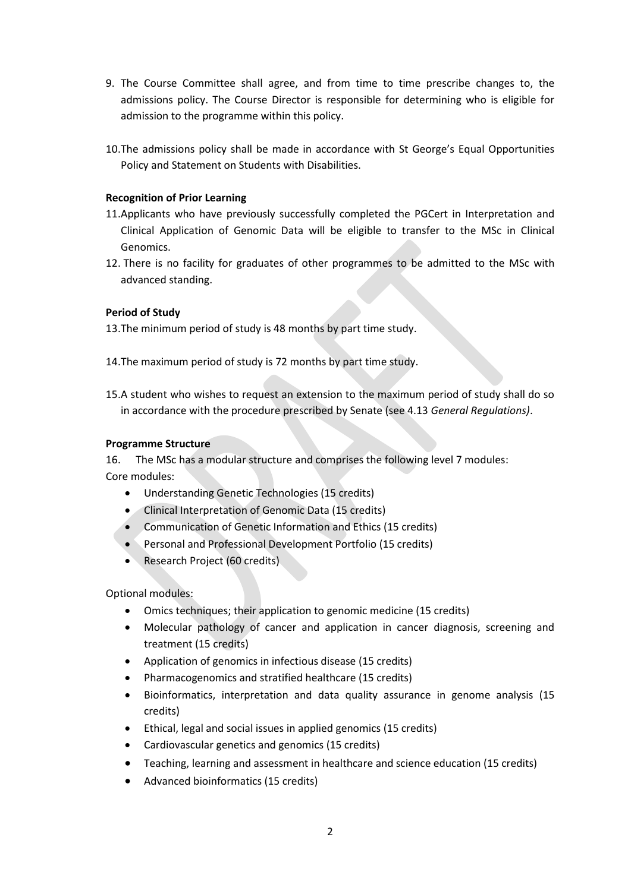- 9. The Course Committee shall agree, and from time to time prescribe changes to, the admissions policy. The Course Director is responsible for determining who is eligible for admission to the programme within this policy.
- 10.The admissions policy shall be made in accordance with St George's Equal Opportunities Policy and Statement on Students with Disabilities.

# **Recognition of Prior Learning**

- 11.Applicants who have previously successfully completed the PGCert in Interpretation and Clinical Application of Genomic Data will be eligible to transfer to the MSc in Clinical Genomics.
- 12. There is no facility for graduates of other programmes to be admitted to the MSc with advanced standing.

# **Period of Study**

13.The minimum period of study is 48 months by part time study.

- 14.The maximum period of study is 72 months by part time study.
- 15.A student who wishes to request an extension to the maximum period of study shall do so in accordance with the procedure prescribed by Senate (see 4.13 *General Regulations)*.

# **Programme Structure**

16. The MSc has a modular structure and comprises the following level 7 modules: Core modules:

- Understanding Genetic Technologies (15 credits)
- Clinical Interpretation of Genomic Data (15 credits)
- Communication of Genetic Information and Ethics (15 credits)
- Personal and Professional Development Portfolio (15 credits)
- Research Project (60 credits)

Optional modules:

- Omics techniques; their application to genomic medicine (15 credits)
- Molecular pathology of cancer and application in cancer diagnosis, screening and treatment (15 credits)
- Application of genomics in infectious disease (15 credits)
- Pharmacogenomics and stratified healthcare (15 credits)
- Bioinformatics, interpretation and data quality assurance in genome analysis (15 credits)
- Ethical, legal and social issues in applied genomics (15 credits)
- Cardiovascular genetics and genomics (15 credits)
- Teaching, learning and assessment in healthcare and science education (15 credits)
- Advanced bioinformatics (15 credits)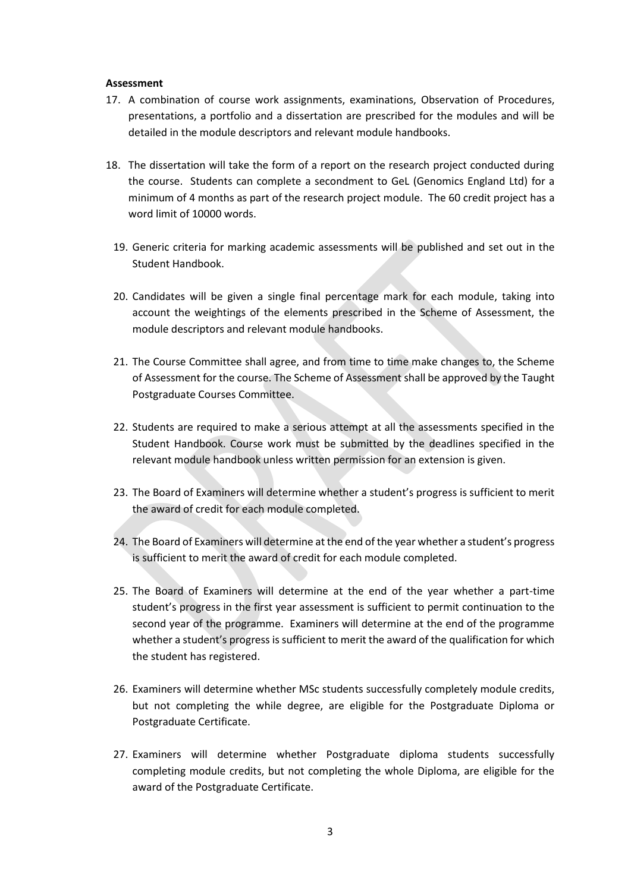#### **Assessment**

- 17. A combination of course work assignments, examinations, Observation of Procedures, presentations, a portfolio and a dissertation are prescribed for the modules and will be detailed in the module descriptors and relevant module handbooks.
- 18. The dissertation will take the form of a report on the research project conducted during the course. Students can complete a secondment to GeL (Genomics England Ltd) for a minimum of 4 months as part of the research project module. The 60 credit project has a word limit of 10000 words.
	- 19. Generic criteria for marking academic assessments will be published and set out in the Student Handbook.
	- 20. Candidates will be given a single final percentage mark for each module, taking into account the weightings of the elements prescribed in the Scheme of Assessment, the module descriptors and relevant module handbooks.
	- 21. The Course Committee shall agree, and from time to time make changes to, the Scheme of Assessment for the course. The Scheme of Assessment shall be approved by the Taught Postgraduate Courses Committee.
	- 22. Students are required to make a serious attempt at all the assessments specified in the Student Handbook. Course work must be submitted by the deadlines specified in the relevant module handbook unless written permission for an extension is given.
	- 23. The Board of Examiners will determine whether a student's progress is sufficient to merit the award of credit for each module completed.
	- 24. The Board of Examiners will determine at the end of the year whether a student's progress is sufficient to merit the award of credit for each module completed.
	- 25. The Board of Examiners will determine at the end of the year whether a part-time student's progress in the first year assessment is sufficient to permit continuation to the second year of the programme. Examiners will determine at the end of the programme whether a student's progress is sufficient to merit the award of the qualification for which the student has registered.
	- 26. Examiners will determine whether MSc students successfully completely module credits, but not completing the while degree, are eligible for the Postgraduate Diploma or Postgraduate Certificate.
	- 27. Examiners will determine whether Postgraduate diploma students successfully completing module credits, but not completing the whole Diploma, are eligible for the award of the Postgraduate Certificate.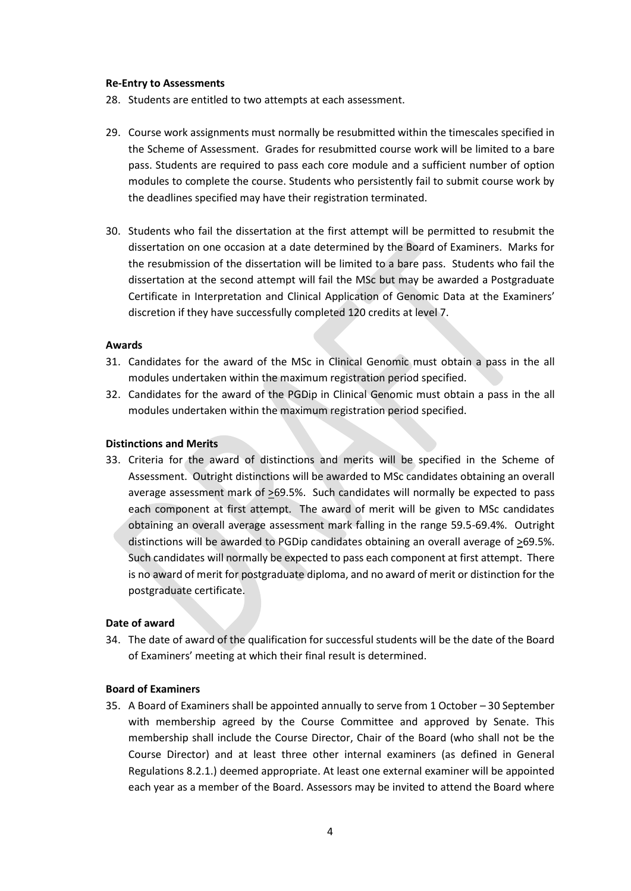#### **Re-Entry to Assessments**

- 28. Students are entitled to two attempts at each assessment.
- 29. Course work assignments must normally be resubmitted within the timescales specified in the Scheme of Assessment. Grades for resubmitted course work will be limited to a bare pass. Students are required to pass each core module and a sufficient number of option modules to complete the course. Students who persistently fail to submit course work by the deadlines specified may have their registration terminated.
- 30. Students who fail the dissertation at the first attempt will be permitted to resubmit the dissertation on one occasion at a date determined by the Board of Examiners. Marks for the resubmission of the dissertation will be limited to a bare pass. Students who fail the dissertation at the second attempt will fail the MSc but may be awarded a Postgraduate Certificate in Interpretation and Clinical Application of Genomic Data at the Examiners' discretion if they have successfully completed 120 credits at level 7.

#### **Awards**

- 31. Candidates for the award of the MSc in Clinical Genomic must obtain a pass in the all modules undertaken within the maximum registration period specified.
- 32. Candidates for the award of the PGDip in Clinical Genomic must obtain a pass in the all modules undertaken within the maximum registration period specified.

### **Distinctions and Merits**

33. Criteria for the award of distinctions and merits will be specified in the Scheme of Assessment. Outright distinctions will be awarded to MSc candidates obtaining an overall average assessment mark of >69.5%. Such candidates will normally be expected to pass each component at first attempt. The award of merit will be given to MSc candidates obtaining an overall average assessment mark falling in the range 59.5-69.4%. Outright distinctions will be awarded to PGDip candidates obtaining an overall average of >69.5%. Such candidates will normally be expected to pass each component at first attempt. There is no award of merit for postgraduate diploma, and no award of merit or distinction for the postgraduate certificate.

### **Date of award**

34. The date of award of the qualification for successful students will be the date of the Board of Examiners' meeting at which their final result is determined.

#### **Board of Examiners**

35. A Board of Examiners shall be appointed annually to serve from 1 October – 30 September with membership agreed by the Course Committee and approved by Senate. This membership shall include the Course Director, Chair of the Board (who shall not be the Course Director) and at least three other internal examiners (as defined in General Regulations 8.2.1.) deemed appropriate. At least one external examiner will be appointed each year as a member of the Board. Assessors may be invited to attend the Board where